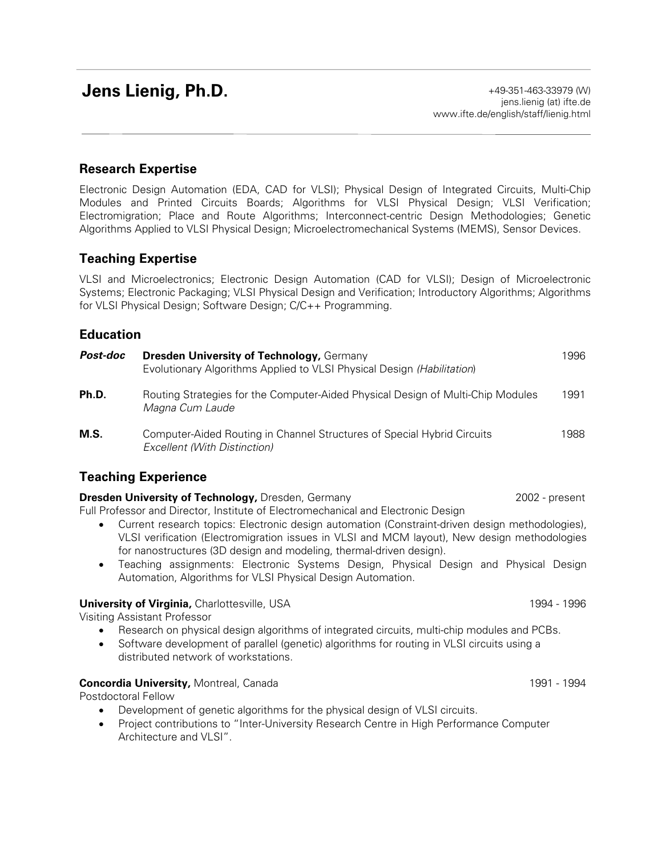# **Jens Lienig, Ph.D.**

# **Research Expertise**

Electronic Design Automation (EDA, CAD for VLSI); Physical Design of Integrated Circuits, Multi-Chip Modules and Printed Circuits Boards; Algorithms for VLSI Physical Design; VLSI Verification; Electromigration; Place and Route Algorithms; Interconnect-centric Design Methodologies; Genetic Algorithms Applied to VLSI Physical Design; Microelectromechanical Systems (MEMS), Sensor Devices.

# **Teaching Expertise**

VLSI and Microelectronics; Electronic Design Automation (CAD for VLSI); Design of Microelectronic Systems; Electronic Packaging; VLSI Physical Design and Verification; Introductory Algorithms; Algorithms for VLSI Physical Design; Software Design; C/C++ Programming.

### **Education**

| Post-doc | <b>Dresden University of Technology, Germany</b><br>Evolutionary Algorithms Applied to VLSI Physical Design (Habilitation) | 1996 |
|----------|----------------------------------------------------------------------------------------------------------------------------|------|
| Ph.D.    | Routing Strategies for the Computer-Aided Physical Design of Multi-Chip Modules<br>Magna Cum Laude                         | 1991 |
| M.S.     | Computer-Aided Routing in Channel Structures of Special Hybrid Circuits<br>Excellent (With Distinction)                    | 1988 |

# **Teaching Experience**

#### **Dresden University of Technology, Dresden, Germany 2002 - 2002 - present**

Full Professor and Director, Institute of Electromechanical and Electronic Design

- Current research topics: Electronic design automation (Constraint-driven design methodologies), VLSI verification (Electromigration issues in VLSI and MCM layout), New design methodologies for nanostructures (3D design and modeling, thermal-driven design).
- Teaching assignments: Electronic Systems Design, Physical Design and Physical Design Automation, Algorithms for VLSI Physical Design Automation.

#### **University of Virginia, Charlottesville, USA 1994 - 1996** 1994 - 1996

Visiting Assistant Professor

- Research on physical design algorithms of integrated circuits, multi-chip modules and PCBs.
- Software development of parallel (genetic) algorithms for routing in VLSI circuits using a distributed network of workstations.

#### **Concordia University,** Montreal, Canada 1991 - 1994 - 1994 - 1994

Postdoctoral Fellow

- Development of genetic algorithms for the physical design of VLSI circuits.
- Project contributions to "Inter-University Research Centre in High Performance Computer Architecture and VLSI".